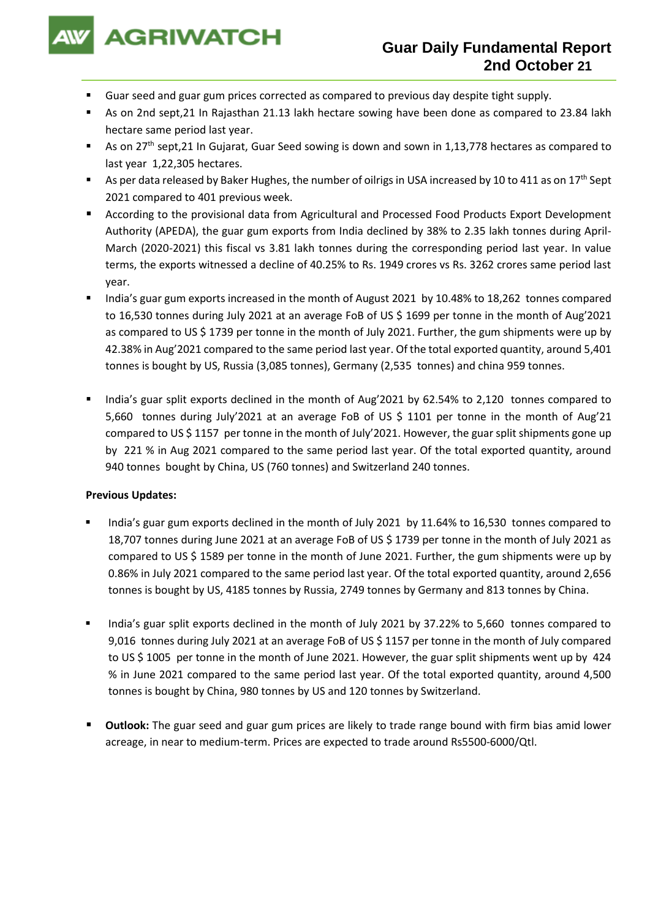

- Guar seed and guar gum prices corrected as compared to previous day despite tight supply.
- As on 2nd sept,21 In Rajasthan 21.13 lakh hectare sowing have been done as compared to 23.84 lakh hectare same period last year.
- As on 27<sup>th</sup> sept,21 In Gujarat, Guar Seed sowing is down and sown in 1,13,778 hectares as compared to last year 1,22,305 hectares.
- As per data released by Baker Hughes, the number of oilrigs in USA increased by 10 to 411 as on 17<sup>th</sup> Sept 2021 compared to 401 previous week.
- According to the provisional data from Agricultural and Processed Food Products Export Development Authority (APEDA), the guar gum exports from India declined by 38% to 2.35 lakh tonnes during April-March (2020-2021) this fiscal vs 3.81 lakh tonnes during the corresponding period last year. In value terms, the exports witnessed a decline of 40.25% to Rs. 1949 crores vs Rs. 3262 crores same period last year.
- India's guar gum exports increased in the month of August 2021 by 10.48% to 18,262 tonnes compared to 16,530 tonnes during July 2021 at an average FoB of US \$ 1699 per tonne in the month of Aug'2021 as compared to US \$ 1739 per tonne in the month of July 2021. Further, the gum shipments were up by 42.38% in Aug'2021 compared to the same period last year. Of the total exported quantity, around 5,401 tonnes is bought by US, Russia (3,085 tonnes), Germany (2,535 tonnes) and china 959 tonnes.
- India's guar split exports declined in the month of Aug'2021 by 62.54% to 2,120 tonnes compared to 5,660 tonnes during July'2021 at an average FoB of US \$ 1101 per tonne in the month of Aug'21 compared to US \$ 1157 per tonne in the month of July'2021. However, the guar split shipments gone up by 221 % in Aug 2021 compared to the same period last year. Of the total exported quantity, around 940 tonnes bought by China, US (760 tonnes) and Switzerland 240 tonnes.

## **Previous Updates:**

- India's guar gum exports declined in the month of July 2021 by 11.64% to 16,530 tonnes compared to 18,707 tonnes during June 2021 at an average FoB of US \$ 1739 per tonne in the month of July 2021 as compared to US \$ 1589 per tonne in the month of June 2021. Further, the gum shipments were up by 0.86% in July 2021 compared to the same period last year. Of the total exported quantity, around 2,656 tonnes is bought by US, 4185 tonnes by Russia, 2749 tonnes by Germany and 813 tonnes by China.
- India's guar split exports declined in the month of July 2021 by 37.22% to 5,660 tonnes compared to 9,016 tonnes during July 2021 at an average FoB of US \$ 1157 per tonne in the month of July compared to US \$ 1005 per tonne in the month of June 2021. However, the guar split shipments went up by 424 % in June 2021 compared to the same period last year. Of the total exported quantity, around 4,500 tonnes is bought by China, 980 tonnes by US and 120 tonnes by Switzerland.
- **Outlook:** The guar seed and guar gum prices are likely to trade range bound with firm bias amid lower acreage, in near to medium-term. Prices are expected to trade around Rs5500-6000/Qtl.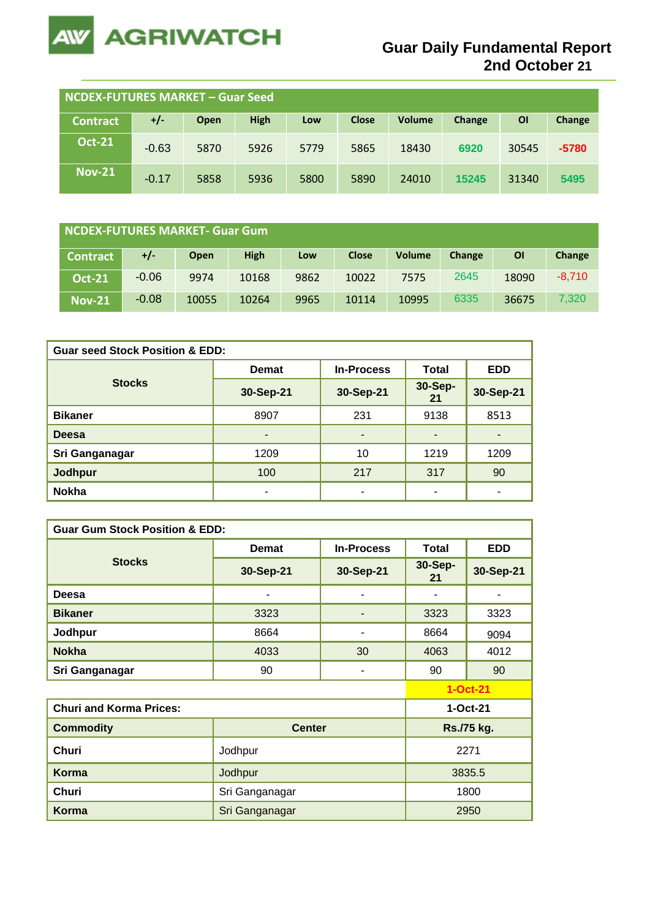

| NCDEX-FUTURES MARKET - Guar Seed |         |      |             |      |              |               |        |       |         |
|----------------------------------|---------|------|-------------|------|--------------|---------------|--------|-------|---------|
| <b>Contract</b>                  | $+/-$   | Open | <b>High</b> | Low  | <b>Close</b> | <b>Volume</b> | Change | ΟI    | Change  |
| <b>Oct-21</b>                    | $-0.63$ | 5870 | 5926        | 5779 | 5865         | 18430         | 6920   | 30545 | $-5780$ |
| <b>Nov-21</b>                    | $-0.17$ | 5858 | 5936        | 5800 | 5890         | 24010         | 15245  | 31340 | 5495    |

| NCDEX-FUTURES MARKET- Guar Gum |         |             |             |      |              |               |        |       |          |
|--------------------------------|---------|-------------|-------------|------|--------------|---------------|--------|-------|----------|
| <b>Contract</b>                | +/-     | <b>Open</b> | <b>High</b> | Low  | <b>Close</b> | <b>Volume</b> | Change | ΟI    | Change   |
| <b>Oct-21</b>                  | $-0.06$ | 9974        | 10168       | 9862 | 10022        | 7575          | 2645   | 18090 | $-8.710$ |
| <b>Nov-21</b>                  | $-0.08$ | 10055       | 10264       | 9965 | 10114        | 10995         | 6335   | 36675 | 7,320    |

| <b>Guar seed Stock Position &amp; EDD:</b> |                          |                   |               |                          |  |  |  |
|--------------------------------------------|--------------------------|-------------------|---------------|--------------------------|--|--|--|
|                                            | <b>Demat</b>             | <b>In-Process</b> | <b>Total</b>  | <b>EDD</b>               |  |  |  |
| <b>Stocks</b>                              | 30-Sep-21                | 30-Sep-21         | 30-Sep-<br>21 | 30-Sep-21                |  |  |  |
| <b>Bikaner</b>                             | 8907                     | 231               | 9138          | 8513                     |  |  |  |
| <b>Deesa</b>                               | $\overline{\phantom{0}}$ | ٠                 |               |                          |  |  |  |
| Sri Ganganagar                             | 1209                     | 10                | 1219          | 1209                     |  |  |  |
| Jodhpur                                    | 100                      | 217               | 317           | 90                       |  |  |  |
| <b>Nokha</b>                               | ۰                        | ۰                 |               | $\overline{\phantom{0}}$ |  |  |  |

| <b>Guar Gum Stock Position &amp; EDD:</b> |                |                   |               |            |  |  |  |  |
|-------------------------------------------|----------------|-------------------|---------------|------------|--|--|--|--|
|                                           | <b>Demat</b>   | <b>In-Process</b> | <b>Total</b>  | <b>EDD</b> |  |  |  |  |
| <b>Stocks</b>                             | 30-Sep-21      | 30-Sep-21         | 30-Sep-<br>21 | 30-Sep-21  |  |  |  |  |
| Deesa                                     | -              | ۰                 |               |            |  |  |  |  |
| <b>Bikaner</b>                            | 3323           |                   | 3323          | 3323       |  |  |  |  |
| Jodhpur                                   | 8664           |                   | 8664          | 9094       |  |  |  |  |
| <b>Nokha</b>                              | 4033           | 30                | 4063          | 4012       |  |  |  |  |
| Sri Ganganagar                            | 90             | -                 | 90            | 90         |  |  |  |  |
|                                           |                |                   |               | 1-Oct-21   |  |  |  |  |
| <b>Churi and Korma Prices:</b>            |                | 1-Oct-21          |               |            |  |  |  |  |
| <b>Commodity</b>                          | <b>Center</b>  |                   | Rs./75 kg.    |            |  |  |  |  |
| <b>Churi</b>                              | Jodhpur        | 2271              |               |            |  |  |  |  |
| Korma                                     | Jodhpur        | 3835.5            |               |            |  |  |  |  |
| <b>Churi</b>                              | Sri Ganganagar | 1800              |               |            |  |  |  |  |
| Korma                                     | Sri Ganganagar |                   |               | 2950       |  |  |  |  |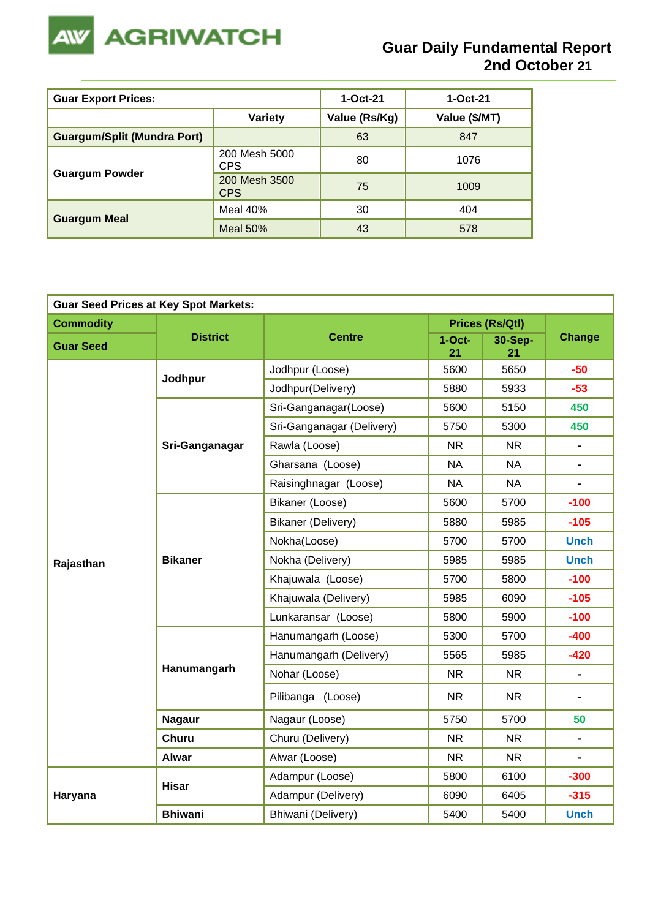

| <b>Guar Export Prices:</b>         | $1-Oct-21$                  | $1-Oct-21$    |               |
|------------------------------------|-----------------------------|---------------|---------------|
|                                    | <b>Variety</b>              | Value (Rs/Kg) | Value (\$/MT) |
| <b>Guargum/Split (Mundra Port)</b> |                             | 63            | 847           |
|                                    | 200 Mesh 5000<br><b>CPS</b> | 80            | 1076          |
| <b>Guargum Powder</b>              | 200 Mesh 3500<br><b>CPS</b> | 75            | 1009          |
|                                    | Meal 40%                    | 30            | 404           |
| <b>Guargum Meal</b>                | <b>Meal 50%</b>             | 43            | 578           |

| <b>Guar Seed Prices at Key Spot Markets:</b> |                 |                           |                |                        |                                                                                                                                                                                                                        |  |  |  |
|----------------------------------------------|-----------------|---------------------------|----------------|------------------------|------------------------------------------------------------------------------------------------------------------------------------------------------------------------------------------------------------------------|--|--|--|
| <b>Commodity</b>                             |                 |                           |                | <b>Prices (Rs/Qtl)</b> | <b>Change</b>                                                                                                                                                                                                          |  |  |  |
| <b>Guar Seed</b>                             | <b>District</b> | <b>Centre</b>             | $1-Oct-$<br>21 | <b>30-Sep-</b><br>21   |                                                                                                                                                                                                                        |  |  |  |
|                                              | Jodhpur         | Jodhpur (Loose)           | 5600           | 5650                   | $-50$                                                                                                                                                                                                                  |  |  |  |
|                                              |                 | Jodhpur(Delivery)         | 5880           | 5933                   | $-53$                                                                                                                                                                                                                  |  |  |  |
|                                              |                 | Sri-Ganganagar(Loose)     | 5600           | 5150                   | 450                                                                                                                                                                                                                    |  |  |  |
|                                              |                 | Sri-Ganganagar (Delivery) | 5750           | 5300                   | 450                                                                                                                                                                                                                    |  |  |  |
|                                              | Sri-Ganganagar  | Rawla (Loose)             | <b>NR</b>      | <b>NR</b>              | $\blacksquare$                                                                                                                                                                                                         |  |  |  |
|                                              |                 | Gharsana (Loose)          | <b>NA</b>      | <b>NA</b>              | $\blacksquare$                                                                                                                                                                                                         |  |  |  |
|                                              |                 | Raisinghnagar (Loose)     | <b>NA</b>      | <b>NA</b>              | $\blacksquare$<br>$-100$<br>$-105$<br><b>Unch</b><br><b>Unch</b><br>$-100$<br>$-105$<br>$-100$<br>$-400$<br>$-420$<br>$\blacksquare$<br>$\blacksquare$<br>50<br>$\blacksquare$<br>-<br>$-300$<br>$-315$<br><b>Unch</b> |  |  |  |
|                                              |                 | Bikaner (Loose)           | 5600           | 5700                   |                                                                                                                                                                                                                        |  |  |  |
| Rajasthan                                    |                 | <b>Bikaner (Delivery)</b> | 5880           | 5985                   |                                                                                                                                                                                                                        |  |  |  |
|                                              |                 | Nokha(Loose)              | 5700           | 5700                   |                                                                                                                                                                                                                        |  |  |  |
|                                              | <b>Bikaner</b>  | Nokha (Delivery)          | 5985           | 5985                   |                                                                                                                                                                                                                        |  |  |  |
|                                              |                 | Khajuwala (Loose)         | 5700           | 5800                   |                                                                                                                                                                                                                        |  |  |  |
|                                              |                 | Khajuwala (Delivery)      | 5985           | 6090                   |                                                                                                                                                                                                                        |  |  |  |
|                                              |                 | Lunkaransar (Loose)       | 5800           | 5900                   |                                                                                                                                                                                                                        |  |  |  |
|                                              |                 | Hanumangarh (Loose)       | 5300           | 5700                   |                                                                                                                                                                                                                        |  |  |  |
|                                              |                 | Hanumangarh (Delivery)    | 5565           | 5985                   |                                                                                                                                                                                                                        |  |  |  |
|                                              | Hanumangarh     | Nohar (Loose)             | <b>NR</b>      | <b>NR</b>              |                                                                                                                                                                                                                        |  |  |  |
|                                              |                 | Pilibanga (Loose)         | <b>NR</b>      |                        |                                                                                                                                                                                                                        |  |  |  |
|                                              | <b>Nagaur</b>   | Nagaur (Loose)            | 5750           | 5700                   |                                                                                                                                                                                                                        |  |  |  |
|                                              | <b>Churu</b>    | Churu (Delivery)          | <b>NR</b>      | <b>NR</b>              |                                                                                                                                                                                                                        |  |  |  |
|                                              | <b>Alwar</b>    | Alwar (Loose)             | <b>NR</b>      | <b>NR</b>              |                                                                                                                                                                                                                        |  |  |  |
|                                              | <b>Hisar</b>    | Adampur (Loose)           | 5800           | 6100                   |                                                                                                                                                                                                                        |  |  |  |
| Haryana                                      |                 | Adampur (Delivery)        | 6090           | 6405                   |                                                                                                                                                                                                                        |  |  |  |
|                                              | <b>Bhiwani</b>  | Bhiwani (Delivery)        | 5400           | 5400                   |                                                                                                                                                                                                                        |  |  |  |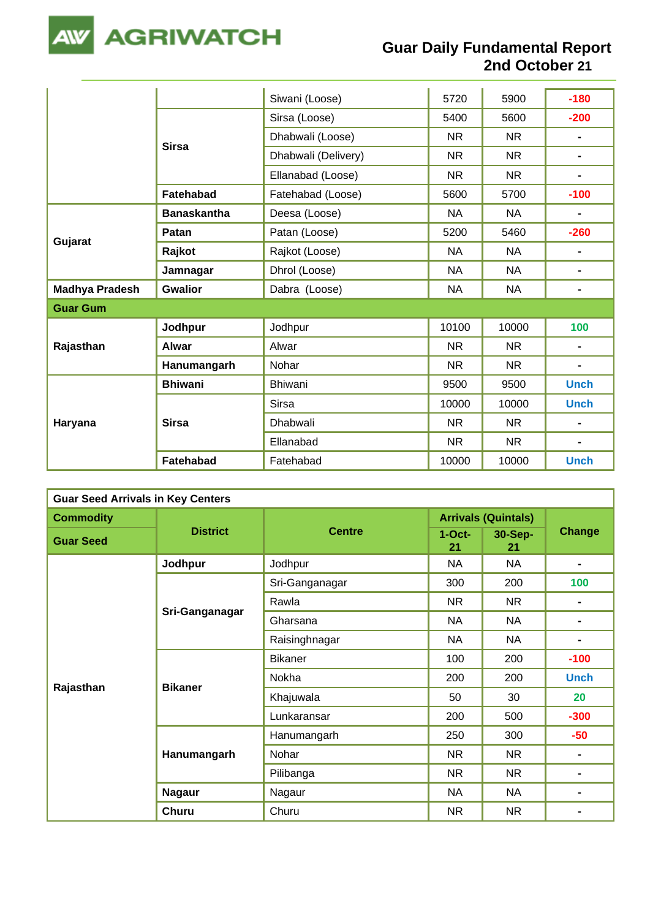

|                       |                    | Siwani (Loose)      | 5720      | 5900      | $-180$         |
|-----------------------|--------------------|---------------------|-----------|-----------|----------------|
|                       |                    | Sirsa (Loose)       | 5400      | 5600      | $-200$         |
|                       | <b>Sirsa</b>       | Dhabwali (Loose)    | <b>NR</b> | <b>NR</b> | $\blacksquare$ |
|                       |                    | Dhabwali (Delivery) | <b>NR</b> | <b>NR</b> | $\blacksquare$ |
|                       |                    | Ellanabad (Loose)   | <b>NR</b> | <b>NR</b> | $\blacksquare$ |
|                       | Fatehabad          | Fatehabad (Loose)   | 5600      | 5700      | $-100$         |
|                       | <b>Banaskantha</b> | Deesa (Loose)       | <b>NA</b> | <b>NA</b> | $\blacksquare$ |
| Gujarat               | <b>Patan</b>       | Patan (Loose)       | 5200      | 5460      | $-260$         |
|                       | Rajkot             | Rajkot (Loose)      | <b>NA</b> | <b>NA</b> | $\blacksquare$ |
|                       | Jamnagar           | Dhrol (Loose)       | <b>NA</b> | <b>NA</b> | $\blacksquare$ |
| <b>Madhya Pradesh</b> | <b>Gwalior</b>     | Dabra (Loose)       | <b>NA</b> | <b>NA</b> | $\blacksquare$ |
| <b>Guar Gum</b>       |                    |                     |           |           |                |
|                       | Jodhpur            | Jodhpur             | 10100     | 10000     | 100            |
| Rajasthan             | <b>Alwar</b>       | Alwar               | <b>NR</b> | <b>NR</b> | $\blacksquare$ |
|                       | Hanumangarh        | Nohar               | <b>NR</b> | <b>NR</b> | $\blacksquare$ |
|                       | <b>Bhiwani</b>     | <b>Bhiwani</b>      | 9500      | 9500      | <b>Unch</b>    |
|                       |                    | <b>Sirsa</b>        | 10000     | 10000     | <b>Unch</b>    |
| Haryana               | <b>Sirsa</b>       | Dhabwali            | <b>NR</b> | <b>NR</b> | $\blacksquare$ |
|                       |                    | Ellanabad           | <b>NR</b> | <b>NR</b> | $\blacksquare$ |
|                       | Fatehabad          | Fatehabad           | 10000     | 10000     | <b>Unch</b>    |

| <b>Guar Seed Arrivals in Key Centers</b> |                 |                |                            |               |                |  |  |
|------------------------------------------|-----------------|----------------|----------------------------|---------------|----------------|--|--|
| <b>Commodity</b>                         |                 | <b>Centre</b>  | <b>Arrivals (Quintals)</b> |               |                |  |  |
| <b>Guar Seed</b>                         | <b>District</b> |                | $1-Oct$ -<br>21            | 30-Sep-<br>21 | Change         |  |  |
|                                          | Jodhpur         | Jodhpur        | <b>NA</b>                  | NA.           | $\blacksquare$ |  |  |
|                                          |                 | Sri-Ganganagar | 300                        | 200           | 100            |  |  |
|                                          |                 | Rawla          | <b>NR</b>                  | NR.           |                |  |  |
|                                          | Sri-Ganganagar  | Gharsana       | <b>NA</b>                  | <b>NA</b>     | $\blacksquare$ |  |  |
|                                          |                 | Raisinghnagar  | <b>NA</b>                  | <b>NA</b>     | $\blacksquare$ |  |  |
|                                          |                 | <b>Bikaner</b> | 100                        | 200           | $-100$         |  |  |
|                                          | <b>Bikaner</b>  | Nokha          | 200                        | 200           | <b>Unch</b>    |  |  |
| Rajasthan                                |                 | Khajuwala      | 50                         | 30            | 20<br>$-300$   |  |  |
|                                          |                 | Lunkaransar    | 200                        | 500           |                |  |  |
|                                          |                 | Hanumangarh    | 250                        | 300           | $-50$          |  |  |
|                                          | Hanumangarh     | Nohar          | <b>NR</b>                  | <b>NR</b>     | $\blacksquare$ |  |  |
|                                          |                 | Pilibanga      | <b>NR</b>                  | <b>NR</b>     | $\blacksquare$ |  |  |
|                                          | <b>Nagaur</b>   | Nagaur         | <b>NA</b>                  | <b>NA</b>     | $\blacksquare$ |  |  |
|                                          | <b>Churu</b>    | Churu          | <b>NR</b>                  | NR            |                |  |  |